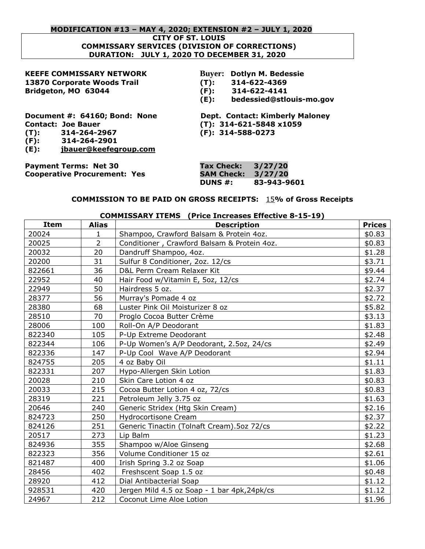#### **MODIFICATION #13 – MAY 4, 2020; EXTENSION #2 – JULY 1, 2020**

**CITY OF ST. LOUIS**

#### **COMMISSARY SERVICES (DIVISION OF CORRECTIONS) DURATION: JULY 1, 2020 TO DECEMBER 31, 2020**

## **KEEFE COMMISSARY NETWORK Buyer: Dotlyn M. Bedessie 13870 Corporate Woods Trail (T): 314-622-4369 Bridgeton, MO 63044 (F): 314-622-4141**

# **(E): bedessied@stlouis-mo.gov**

**Contact: Joe Bauer (T): 314-621-5848 x1059 (T): 314-264-2967 (F): 314-588-0273 (F): 314-264-2901 (E): [jbauer@keefegroup.com](mailto:droennigke@keefegroup.com)**

**Document #: 64160; Bond: None Dept. Contact: Kimberly Maloney**

**Payment Terms: Net 30 Tax Check: 3/27/20 Cooperative Procurement: Yes SAM Check: 3/27/20**

**DUNS #: 83-943-9601**

## **COMMISSION TO BE PAID ON GROSS RECEIPTS:** 15**% of Gross Receipts**

| <b>COMMISSARY ITEMS</b> (Price Increases Effective 8-15-19) |                |                                              |               |
|-------------------------------------------------------------|----------------|----------------------------------------------|---------------|
| <b>Item</b>                                                 | <b>Alias</b>   | <b>Description</b>                           | <b>Prices</b> |
| 20024                                                       | 1              | Shampoo, Crawford Balsam & Protein 4oz.      | \$0.83        |
| 20025                                                       | $\overline{2}$ | Conditioner, Crawford Balsam & Protein 4oz.  | \$0.83        |
| 20032                                                       | 20             | Dandruff Shampoo, 4oz.                       | \$1.28        |
| 20200                                                       | 31             | Sulfur 8 Conditioner, 2oz. 12/cs             | \$3.71        |
| 822661                                                      | 36             | D&L Perm Cream Relaxer Kit                   | \$9.44        |
| 22952                                                       | 40             | Hair Food w/Vitamin E, 5oz, 12/cs            | \$2.74        |
| 22949                                                       | 50             | Hairdress 5 oz.                              | \$2.37        |
| 28377                                                       | 56             | Murray's Pomade 4 oz                         | \$2.72        |
| 28380                                                       | 68             | Luster Pink Oil Moisturizer 8 oz             | \$5.82        |
| 28510                                                       | 70             | Proglo Cocoa Butter Crème                    | \$3.13        |
| 28006                                                       | 100            | Roll-On A/P Deodorant                        | \$1.83        |
| 822340                                                      | 105            | P-Up Extreme Deodorant                       | \$2.48        |
| 822344                                                      | 106            | P-Up Women's A/P Deodorant, 2.5oz, 24/cs     | \$2.49        |
| 822336                                                      | 147            | P-Up Cool Wave A/P Deodorant                 | \$2.94        |
| 824755                                                      | 205            | 4 oz Baby Oil                                | \$1.11        |
| 822331                                                      | 207            | Hypo-Allergen Skin Lotion                    | \$1.83        |
| 20028                                                       | 210            | Skin Care Lotion 4 oz                        | \$0.83        |
| 20033                                                       | 215            | Cocoa Butter Lotion 4 oz, 72/cs              | \$0.83        |
| 28319                                                       | 221            | Petroleum Jelly 3.75 oz                      | \$1.63        |
| 20646                                                       | 240            | Generic Stridex (Htg Skin Cream)             | \$2.16        |
| 824723                                                      | 250            | Hydrocortisone Cream                         | \$2.37        |
| 824126                                                      | 251            | Generic Tinactin (Tolnaft Cream). 5oz 72/cs  | \$2.22        |
| 20517                                                       | 273            | Lip Balm                                     | \$1.23        |
| 824936                                                      | 355            | Shampoo w/Aloe Ginseng                       | \$2.68        |
| 822323                                                      | 356            | Volume Conditioner 15 oz                     | \$2.61        |
| 821487                                                      | 400            | Irish Spring 3.2 oz Soap                     | \$1.06        |
| 28456                                                       | 402            | Freshscent Soap 1.5 oz                       | \$0.48        |
| 28920                                                       | 412            | Dial Antibacterial Soap                      | \$1.12        |
| 928531                                                      | 420            | Jergen Mild 4.5 oz Soap - 1 bar 4pk, 24pk/cs | \$1.12        |
| 24967                                                       | 212            | Coconut Lime Aloe Lotion                     | \$1.96        |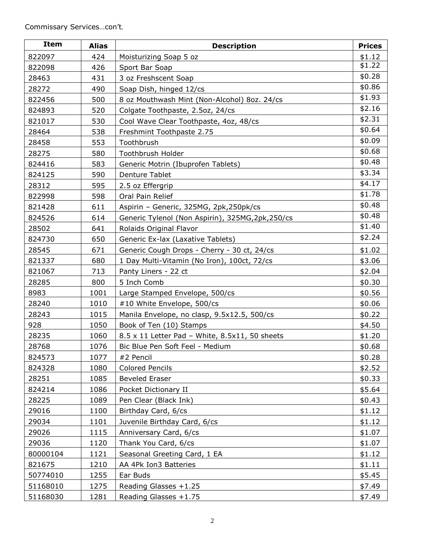| <b>Item</b> | <b>Alias</b> | <b>Description</b>                                | <b>Prices</b> |
|-------------|--------------|---------------------------------------------------|---------------|
| 822097      | 424          | Moisturizing Soap 5 oz                            | \$1.12        |
| 822098      | 426          | Sport Bar Soap                                    | \$1.22        |
| 28463       | 431          | 3 oz Freshscent Soap                              | \$0.28        |
| 28272       | 490          | Soap Dish, hinged 12/cs                           | \$0.86        |
| 822456      | 500          | 8 oz Mouthwash Mint (Non-Alcohol) 8oz. 24/cs      | \$1.93        |
| 824893      | 520          | Colgate Toothpaste, 2.5oz, 24/cs                  | \$2.16        |
| 821017      | 530          | Cool Wave Clear Toothpaste, 4oz, 48/cs            | \$2.31        |
| 28464       | 538          | Freshmint Toothpaste 2.75                         | \$0.64        |
| 28458       | 553          | Toothbrush                                        | \$0.09        |
| 28275       | 580          | Toothbrush Holder                                 | \$0.68        |
| 824416      | 583          | Generic Motrin (Ibuprofen Tablets)                | \$0.48        |
| 824125      | 590          | Denture Tablet                                    | \$3.34        |
| 28312       | 595          | 2.5 oz Effergrip                                  | \$4.17        |
| 822998      | 598          | Oral Pain Relief                                  | \$1.78        |
| 821428      | 611          | Aspirin - Generic, 325MG, 2pk,250pk/cs            | \$0.48        |
| 824526      | 614          | Generic Tylenol (Non Aspirin), 325MG, 2pk, 250/cs | \$0.48        |
| 28502       | 641          | Rolaids Original Flavor                           | \$1.40        |
| 824730      | 650          | Generic Ex-lax (Laxative Tablets)                 | \$2.24        |
| 28545       | 671          | Generic Cough Drops - Cherry - 30 ct, 24/cs       | \$1.02        |
| 821337      | 680          | 1 Day Multi-Vitamin (No Iron), 100ct, 72/cs       | \$3.06        |
| 821067      | 713          | Panty Liners - 22 ct                              | \$2.04        |
| 28285       | 800          | 5 Inch Comb                                       | \$0.30        |
| 8983        | 1001         | Large Stamped Envelope, 500/cs                    | \$0.56        |
| 28240       | 1010         | #10 White Envelope, 500/cs                        | \$0.06        |
| 28243       | 1015         | Manila Envelope, no clasp, 9.5x12.5, 500/cs       | \$0.22        |
| 928         | 1050         | Book of Ten (10) Stamps                           | \$4.50        |
| 28235       | 1060         | 8.5 x 11 Letter Pad - White, 8.5x11, 50 sheets    | \$1.20        |
| 28768       | 1076         | Bic Blue Pen Soft Feel - Medium                   | \$0.68        |
| 824573      | 1077         | #2 Pencil                                         | \$0.28        |
| 824328      | 1080         | <b>Colored Pencils</b>                            | \$2.52        |
| 28251       | 1085         | <b>Beveled Eraser</b>                             | \$0.33        |
| 824214      | 1086         | Pocket Dictionary II                              | \$5.64        |
| 28225       | 1089         | Pen Clear (Black Ink)                             | \$0.43        |
| 29016       | 1100         | Birthday Card, 6/cs                               | \$1.12        |
| 29034       | 1101         | Juvenile Birthday Card, 6/cs                      | \$1.12        |
| 29026       | 1115         | Anniversary Card, 6/cs                            | \$1.07        |
| 29036       | 1120         | Thank You Card, 6/cs                              | \$1.07        |
| 80000104    | 1121         | Seasonal Greeting Card, 1 EA                      | \$1.12        |
| 821675      | 1210         | AA 4Pk Ion3 Batteries                             | \$1.11        |
| 50774010    | 1255         | Ear Buds                                          | \$5.45        |
| 51168010    | 1275         | Reading Glasses +1.25                             | \$7.49        |
| 51168030    | 1281         | Reading Glasses $+1.75$                           | \$7.49        |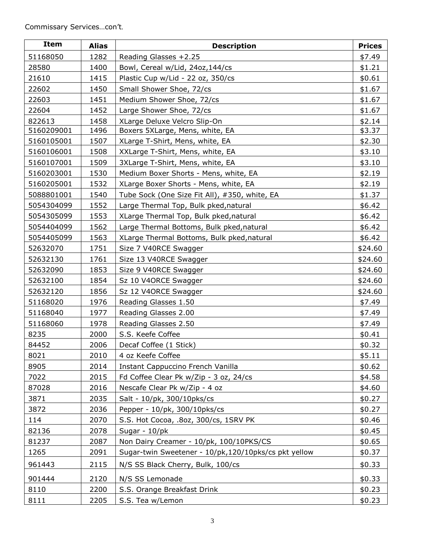| <b>Item</b> | <b>Alias</b> | <b>Description</b>                                   | <b>Prices</b> |
|-------------|--------------|------------------------------------------------------|---------------|
| 51168050    | 1282         | Reading Glasses +2.25                                | \$7.49        |
| 28580       | 1400         | Bowl, Cereal w/Lid, 24oz, 144/cs                     | \$1.21        |
| 21610       | 1415         | Plastic Cup w/Lid - 22 oz, 350/cs                    | \$0.61        |
| 22602       | 1450         | Small Shower Shoe, 72/cs                             | \$1.67        |
| 22603       | 1451         | Medium Shower Shoe, 72/cs                            | \$1.67        |
| 22604       | 1452         | Large Shower Shoe, 72/cs                             | \$1.67        |
| 822613      | 1458         | XLarge Deluxe Velcro Slip-On                         | \$2.14        |
| 5160209001  | 1496         | Boxers 5XLarge, Mens, white, EA                      | \$3.37        |
| 5160105001  | 1507         | XLarge T-Shirt, Mens, white, EA                      | \$2.30        |
| 5160106001  | 1508         | XXLarge T-Shirt, Mens, white, EA                     | \$3.10        |
| 5160107001  | 1509         | 3XLarge T-Shirt, Mens, white, EA                     | \$3.10        |
| 5160203001  | 1530         | Medium Boxer Shorts - Mens, white, EA                | \$2.19        |
| 5160205001  | 1532         | XLarge Boxer Shorts - Mens, white, EA                | \$2.19        |
| 5088801001  | 1540         | Tube Sock (One Size Fit All), #350, white, EA        | \$1.37        |
| 5054304099  | 1552         | Large Thermal Top, Bulk pked, natural                | \$6.42        |
| 5054305099  | 1553         | XLarge Thermal Top, Bulk pked, natural               | \$6.42        |
| 5054404099  | 1562         | Large Thermal Bottoms, Bulk pked, natural            | \$6.42        |
| 5054405099  | 1563         | XLarge Thermal Bottoms, Bulk pked, natural           | \$6.42        |
| 52632070    | 1751         | Size 7 V40RCE Swagger                                | \$24.60       |
| 52632130    | 1761         | Size 13 V40RCE Swagger                               | \$24.60       |
| 52632090    | 1853         | Size 9 V40RCE Swagger                                | \$24.60       |
| 52632100    | 1854         | Sz 10 V4ORCE Swagger                                 | \$24.60       |
| 52632120    | 1856         | Sz 12 V4ORCE Swagger                                 | \$24.60       |
| 51168020    | 1976         | Reading Glasses 1.50                                 | \$7.49        |
| 51168040    | 1977         | Reading Glasses 2.00                                 | \$7.49        |
| 51168060    | 1978         | Reading Glasses 2.50                                 | \$7.49        |
| 8235        | 2000         | S.S. Keefe Coffee                                    | \$0.41        |
| 84452       | 2006         | Decaf Coffee (1 Stick)                               | \$0.32        |
| 8021        | 2010         | 4 oz Keefe Coffee                                    | \$5.11        |
| 8905        | 2014         | Instant Cappuccino French Vanilla                    | \$0.62        |
| 7022        | 2015         | Fd Coffee Clear Pk w/Zip - 3 oz, 24/cs               | \$4.58        |
| 87028       | 2016         | Nescafe Clear Pk w/Zip - 4 oz                        | \$4.60        |
| 3871        | 2035         | Salt - 10/pk, 300/10pks/cs                           | \$0.27        |
| 3872        | 2036         | Pepper - 10/pk, 300/10pks/cs                         | \$0.27        |
| 114         | 2070         | S.S. Hot Cocoa, .8oz, 300/cs, 1SRV PK                | \$0.46        |
| 82136       | 2078         | Sugar - 10/pk                                        | \$0.45        |
| 81237       | 2087         | Non Dairy Creamer - 10/pk, 100/10PKS/CS              | \$0.65        |
| 1265        | 2091         | Sugar-twin Sweetener - 10/pk,120/10pks/cs pkt yellow | \$0.37        |
| 961443      | 2115         | N/S SS Black Cherry, Bulk, 100/cs                    | \$0.33        |
| 901444      | 2120         | N/S SS Lemonade                                      | \$0.33        |
| 8110        | 2200         | S.S. Orange Breakfast Drink                          | \$0.23        |
| 8111        | 2205         | S.S. Tea w/Lemon                                     | \$0.23        |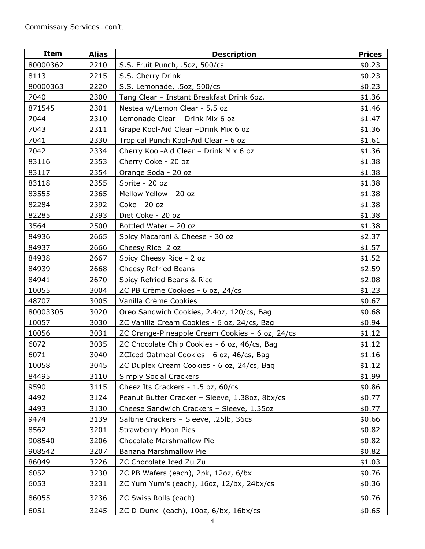| Item     | <b>Alias</b> | <b>Description</b>                              | <b>Prices</b> |
|----------|--------------|-------------------------------------------------|---------------|
| 80000362 | 2210         | S.S. Fruit Punch, .5oz, 500/cs                  | \$0.23        |
| 8113     | 2215         | S.S. Cherry Drink                               | \$0.23        |
| 80000363 | 2220         | S.S. Lemonade, .5oz, 500/cs                     | \$0.23        |
| 7040     | 2300         | Tang Clear - Instant Breakfast Drink 6oz.       | \$1.36        |
| 871545   | 2301         | Nestea w/Lemon Clear - 5.5 oz                   | \$1.46        |
| 7044     | 2310         | Lemonade Clear - Drink Mix 6 oz                 | \$1.47        |
| 7043     | 2311         | Grape Kool-Aid Clear -Drink Mix 6 oz            | \$1.36        |
| 7041     | 2330         | Tropical Punch Kool-Aid Clear - 6 oz            | \$1.61        |
| 7042     | 2334         | Cherry Kool-Aid Clear - Drink Mix 6 oz          | \$1.36        |
| 83116    | 2353         | Cherry Coke - 20 oz                             | \$1.38        |
| 83117    | 2354         | Orange Soda - 20 oz                             | \$1.38        |
| 83118    | 2355         | Sprite - 20 oz                                  | \$1.38        |
| 83555    | 2365         | Mellow Yellow - 20 oz                           | \$1.38        |
| 82284    | 2392         | Coke - 20 oz                                    | \$1.38        |
| 82285    | 2393         | Diet Coke - 20 oz                               | \$1.38        |
| 3564     | 2500         | Bottled Water - 20 oz                           | \$1.38        |
| 84936    | 2665         | Spicy Macaroni & Cheese - 30 oz                 | \$2.37        |
| 84937    | 2666         | Cheesy Rice 2 oz                                | \$1.57        |
| 84938    | 2667         | Spicy Cheesy Rice - 2 oz                        | \$1.52        |
| 84939    | 2668         | Cheesy Refried Beans                            | \$2.59        |
| 84941    | 2670         | Spicy Refried Beans & Rice                      | \$2.08        |
| 10055    | 3004         | ZC PB Crème Cookies - 6 oz, 24/cs               | \$1.23        |
| 48707    | 3005         | Vanilla Crème Cookies                           | \$0.67        |
| 80003305 | 3020         | Oreo Sandwich Cookies, 2.4oz, 120/cs, Bag       | \$0.68        |
| 10057    | 3030         | ZC Vanilla Cream Cookies - 6 oz, 24/cs, Bag     | \$0.94        |
| 10056    | 3031         | ZC Orange-Pineapple Cream Cookies - 6 oz, 24/cs | \$1.12        |
| 6072     | 3035         | ZC Chocolate Chip Cookies - 6 oz, 46/cs, Bag    | \$1.12        |
| 6071     | 3040         | ZCIced Oatmeal Cookies - 6 oz, 46/cs, Bag       | \$1.16        |
| 10058    | 3045         | ZC Duplex Cream Cookies - 6 oz, 24/cs, Bag      | \$1.12        |
| 84495    | 3110         | <b>Simply Social Crackers</b>                   | \$1.99        |
| 9590     | 3115         | Cheez Its Crackers - 1.5 oz, 60/cs              | \$0.86        |
| 4492     | 3124         | Peanut Butter Cracker - Sleeve, 1.38oz, 8bx/cs  | \$0.77        |
| 4493     | 3130         | Cheese Sandwich Crackers - Sleeve, 1.35oz       | \$0.77        |
| 9474     | 3139         | Saltine Crackers - Sleeve, .25lb, 36cs          | \$0.66        |
| 8562     | 3201         | <b>Strawberry Moon Pies</b>                     | \$0.82        |
| 908540   | 3206         | Chocolate Marshmallow Pie                       | \$0.82        |
| 908542   | 3207         | Banana Marshmallow Pie                          | \$0.82        |
| 86049    | 3226         | ZC Chocolate Iced Zu Zu                         | \$1.03        |
| 6052     | 3230         | ZC PB Wafers (each), 2pk, 12oz, 6/bx            | \$0.76        |
| 6053     | 3231         | ZC Yum Yum's (each), 16oz, 12/bx, 24bx/cs       | \$0.36        |
| 86055    | 3236         | ZC Swiss Rolls (each)                           | \$0.76        |
| 6051     | 3245         | ZC D-Dunx (each), 10oz, 6/bx, 16bx/cs           | \$0.65        |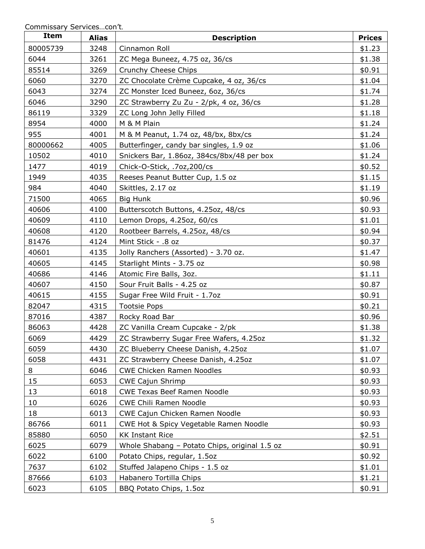Commissary Services…con't*.*

| Item     | <b>Alias</b> | <b>Description</b>                            | <b>Prices</b> |
|----------|--------------|-----------------------------------------------|---------------|
| 80005739 | 3248         | Cinnamon Roll                                 | \$1.23        |
| 6044     | 3261         | ZC Mega Buneez, 4.75 oz, 36/cs                | \$1.38        |
| 85514    | 3269         | Crunchy Cheese Chips                          | \$0.91        |
| 6060     | 3270         | ZC Chocolate Crème Cupcake, 4 oz, 36/cs       | \$1.04        |
| 6043     | 3274         | ZC Monster Iced Buneez, 6oz, 36/cs            | \$1.74        |
| 6046     | 3290         | ZC Strawberry Zu Zu - 2/pk, 4 oz, 36/cs       | \$1.28        |
| 86119    | 3329         | ZC Long John Jelly Filled                     | \$1.18        |
| 8954     | 4000         | M & M Plain                                   | \$1.24        |
| 955      | 4001         | M & M Peanut, 1.74 oz, 48/bx, 8bx/cs          | \$1.24        |
| 80000662 | 4005         | Butterfinger, candy bar singles, 1.9 oz       | \$1.06        |
| 10502    | 4010         | Snickers Bar, 1.86oz, 384cs/8bx/48 per box    | \$1.24        |
| 1477     | 4019         | Chick-O-Stick, .7oz,200/cs                    | \$0.52        |
| 1949     | 4035         | Reeses Peanut Butter Cup, 1.5 oz              | \$1.15        |
| 984      | 4040         | Skittles, 2.17 oz                             | \$1.19        |
| 71500    | 4065         | Big Hunk                                      | \$0.96        |
| 40606    | 4100         | Butterscotch Buttons, 4.25oz, 48/cs           | \$0.93        |
| 40609    | 4110         | Lemon Drops, 4.25oz, 60/cs                    | \$1.01        |
| 40608    | 4120         | Rootbeer Barrels, 4.25oz, 48/cs               | \$0.94        |
| 81476    | 4124         | Mint Stick - .8 oz                            | \$0.37        |
| 40601    | 4135         | Jolly Ranchers (Assorted) - 3.70 oz.          | \$1.47        |
| 40605    | 4145         | Starlight Mints - 3.75 oz                     | \$0.98        |
| 40686    | 4146         | Atomic Fire Balls, 3oz.                       | \$1.11        |
| 40607    | 4150         | Sour Fruit Balls - 4.25 oz                    | \$0.87        |
| 40615    | 4155         | Sugar Free Wild Fruit - 1.7oz                 | \$0.91        |
| 82047    | 4315         | <b>Tootsie Pops</b>                           | \$0.21        |
| 87016    | 4387         | Rocky Road Bar                                | \$0.96        |
| 86063    | 4428         | ZC Vanilla Cream Cupcake - 2/pk               | \$1.38        |
| 6069     | 4429         | ZC Strawberry Sugar Free Wafers, 4.25oz       | \$1.32        |
| 6059     | 4430         | ZC Blueberry Cheese Danish, 4.25oz            | \$1.07        |
| 6058     | 4431         | ZC Strawberry Cheese Danish, 4.25oz           | \$1.07        |
| 8        | 6046         | <b>CWE Chicken Ramen Noodles</b>              | \$0.93        |
| 15       | 6053         | <b>CWE Cajun Shrimp</b>                       | \$0.93        |
| 13       | 6018         | <b>CWE Texas Beef Ramen Noodle</b>            | \$0.93        |
| 10       | 6026         | CWE Chili Ramen Noodle                        | \$0.93        |
| 18       | 6013         | CWE Cajun Chicken Ramen Noodle                | \$0.93        |
| 86766    | 6011         | CWE Hot & Spicy Vegetable Ramen Noodle        | \$0.93        |
| 85880    | 6050         | <b>KK Instant Rice</b>                        | \$2.51        |
| 6025     | 6079         | Whole Shabang - Potato Chips, original 1.5 oz | \$0.91        |
| 6022     | 6100         | Potato Chips, regular, 1.5oz                  | \$0.92        |
| 7637     | 6102         | Stuffed Jalapeno Chips - 1.5 oz               | \$1.01        |
| 87666    | 6103         | Habanero Tortilla Chips                       | \$1.21        |
| 6023     | 6105         | BBQ Potato Chips, 1.5oz                       | \$0.91        |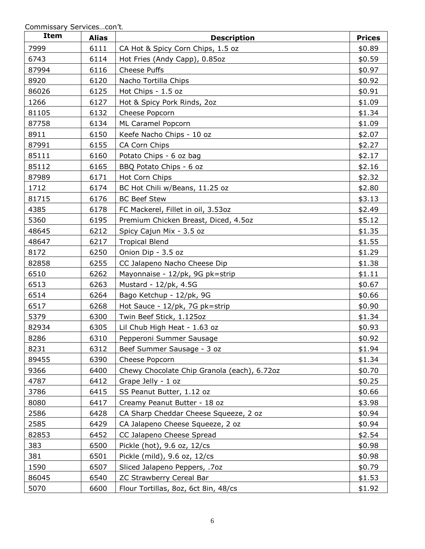| <b>Item</b> | <b>Alias</b> | <b>Description</b>                          | <b>Prices</b> |
|-------------|--------------|---------------------------------------------|---------------|
| 7999        | 6111         | CA Hot & Spicy Corn Chips, 1.5 oz           | \$0.89        |
| 6743        | 6114         | Hot Fries (Andy Capp), 0.85oz               | \$0.59        |
| 87994       | 6116         | Cheese Puffs                                | \$0.97        |
| 8920        | 6120         | Nacho Tortilla Chips                        | \$0.92        |
| 86026       | 6125         | Hot Chips - 1.5 oz                          | \$0.91        |
| 1266        | 6127         | Hot & Spicy Pork Rinds, 2oz                 | \$1.09        |
| 81105       | 6132         | Cheese Popcorn                              | \$1.34        |
| 87758       | 6134         | ML Caramel Popcorn                          | \$1.09        |
| 8911        | 6150         | Keefe Nacho Chips - 10 oz                   | \$2.07        |
| 87991       | 6155         | CA Corn Chips                               | \$2.27        |
| 85111       | 6160         | Potato Chips - 6 oz bag                     | \$2.17        |
| 85112       | 6165         | BBQ Potato Chips - 6 oz                     | \$2.16        |
| 87989       | 6171         | Hot Corn Chips                              | \$2.32        |
| 1712        | 6174         | BC Hot Chili w/Beans, 11.25 oz              | \$2.80        |
| 81715       | 6176         | <b>BC Beef Stew</b>                         | \$3.13        |
| 4385        | 6178         | FC Mackerel, Fillet in oil, 3.53oz          | \$2.49        |
| 5360        | 6195         | Premium Chicken Breast, Diced, 4.5oz        | \$5.12        |
| 48645       | 6212         | Spicy Cajun Mix - 3.5 oz                    | \$1.35        |
| 48647       | 6217         | <b>Tropical Blend</b>                       | \$1.55        |
| 8172        | 6250         | Onion Dip - 3.5 oz                          | \$1.29        |
| 82858       | 6255         | CC Jalapeno Nacho Cheese Dip                | \$1.38        |
| 6510        | 6262         | Mayonnaise - 12/pk, 9G pk=strip             | \$1.11        |
| 6513        | 6263         | Mustard - 12/pk, 4.5G                       | \$0.67        |
| 6514        | 6264         | Bago Ketchup - 12/pk, 9G                    | \$0.66        |
| 6517        | 6268         | Hot Sauce - 12/pk, 7G pk=strip              | \$0.90        |
| 5379        | 6300         | Twin Beef Stick, 1.125oz                    | \$1.34        |
| 82934       | 6305         | Lil Chub High Heat - 1.63 oz                | \$0.93        |
| 8286        | 6310         | Pepperoni Summer Sausage                    | \$0.92        |
| 8231        | 6312         | Beef Summer Sausage - 3 oz                  | \$1.94        |
| 89455       | 6390         | Cheese Popcorn                              | \$1.34        |
| 9366        | 6400         | Chewy Chocolate Chip Granola (each), 6.72oz | \$0.70        |
| 4787        | 6412         | Grape Jelly - 1 oz                          | \$0.25        |
| 3786        | 6415         | SS Peanut Butter, 1.12 oz                   | \$0.66        |
| 8080        | 6417         | Creamy Peanut Butter - 18 oz                | \$3.98        |
| 2586        | 6428         | CA Sharp Cheddar Cheese Squeeze, 2 oz       | \$0.94        |
| 2585        | 6429         | CA Jalapeno Cheese Squeeze, 2 oz            | \$0.94        |
| 82853       | 6452         | CC Jalapeno Cheese Spread                   | \$2.54        |
| 383         | 6500         | Pickle (hot), 9.6 oz, 12/cs                 | \$0.98        |
| 381         | 6501         | Pickle (mild), 9.6 oz, 12/cs                | \$0.98        |
| 1590        | 6507         | Sliced Jalapeno Peppers, .7oz               | \$0.79        |
| 86045       | 6540         | ZC Strawberry Cereal Bar                    | \$1.53        |
| 5070        | 6600         | Flour Tortillas, 8oz, 6ct 8in, 48/cs        | \$1.92        |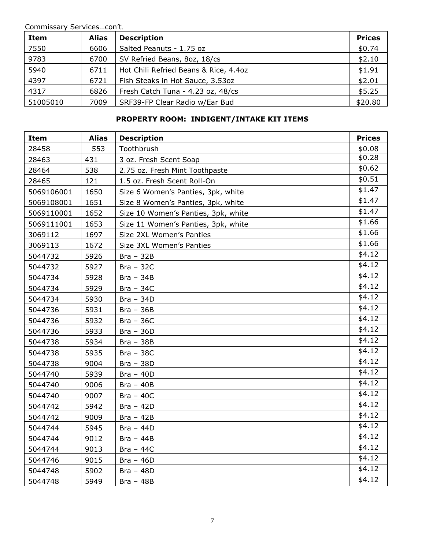| Item     | Alias | <b>Description</b>                    | <b>Prices</b> |
|----------|-------|---------------------------------------|---------------|
| 7550     | 6606  | Salted Peanuts - 1.75 oz              | \$0.74        |
| 9783     | 6700  | SV Refried Beans, 8oz, 18/cs          | \$2.10        |
| 5940     | 6711  | Hot Chili Refried Beans & Rice, 4.4oz | \$1.91        |
| 4397     | 6721  | Fish Steaks in Hot Sauce, 3.53oz      | \$2.01        |
| 4317     | 6826  | Fresh Catch Tuna - 4.23 oz, 48/cs     | \$5.25        |
| 51005010 | 7009  | SRF39-FP Clear Radio w/Ear Bud        | \$20.80       |

## **PROPERTY ROOM: INDIGENT/INTAKE KIT ITEMS**

| <b>Item</b> | <b>Alias</b> | <b>Description</b>                  | <b>Prices</b> |
|-------------|--------------|-------------------------------------|---------------|
| 28458       | 553          | Toothbrush                          | \$0.08        |
| 28463       | 431          | 3 oz. Fresh Scent Soap              | \$0.28        |
| 28464       | 538          | 2.75 oz. Fresh Mint Toothpaste      | \$0.62        |
| 28465       | 121          | 1.5 oz. Fresh Scent Roll-On         | \$0.51        |
| 5069106001  | 1650         | Size 6 Women's Panties, 3pk, white  | \$1.47        |
| 5069108001  | 1651         | Size 8 Women's Panties, 3pk, white  | \$1.47        |
| 5069110001  | 1652         | Size 10 Women's Panties, 3pk, white | \$1.47        |
| 5069111001  | 1653         | Size 11 Women's Panties, 3pk, white | \$1.66        |
| 3069112     | 1697         | Size 2XL Women's Panties            | \$1.66        |
| 3069113     | 1672         | Size 3XL Women's Panties            | \$1.66        |
| 5044732     | 5926         | $Bra - 32B$                         | \$4.12        |
| 5044732     | 5927         | $Bra - 32C$                         | \$4.12        |
| 5044734     | 5928         | $Bra - 34B$                         | \$4.12        |
| 5044734     | 5929         | $Bra - 34C$                         | \$4.12        |
| 5044734     | 5930         | $Bra - 34D$                         | \$4.12        |
| 5044736     | 5931         | $Bra - 36B$                         | \$4.12        |
| 5044736     | 5932         | $Bra - 36C$                         | \$4.12        |
| 5044736     | 5933         | $Bra - 36D$                         | \$4.12        |
| 5044738     | 5934         | $Bra - 38B$                         | \$4.12        |
| 5044738     | 5935         | $Bra - 38C$                         | \$4.12        |
| 5044738     | 9004         | $Bra - 38D$                         | \$4.12        |
| 5044740     | 5939         | $Bra - 40D$                         | \$4.12        |
| 5044740     | 9006         | $Bra - 40B$                         | \$4.12        |
| 5044740     | 9007         | $Bra - 40C$                         | \$4.12        |
| 5044742     | 5942         | $Bra - 42D$                         | \$4.12        |
| 5044742     | 9009         | $Bra - 42B$                         | \$4.12        |
| 5044744     | 5945         | $Bra - 44D$                         | \$4.12        |
| 5044744     | 9012         | $Bra - 44B$                         | \$4.12        |
| 5044744     | 9013         | $Bra - 44C$                         | \$4.12        |
| 5044746     | 9015         | $Bra - 46D$                         | \$4.12        |
| 5044748     | 5902         | $Bra - 48D$                         | \$4.12        |
| 5044748     | 5949         | $Bra - 48B$                         | \$4.12        |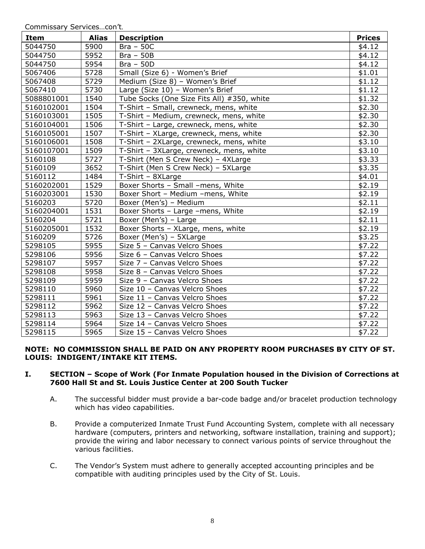| Item       | <b>Alias</b> | <b>Description</b>                         | <b>Prices</b> |
|------------|--------------|--------------------------------------------|---------------|
| 5044750    | 5900         | $Bra - 50C$                                | \$4.12        |
| 5044750    | 5952         | $Bra - 50B$                                | \$4.12        |
| 5044750    | 5954         | $Bra - 50D$                                | \$4.12        |
| 5067406    | 5728         | Small (Size 6) - Women's Brief             | \$1.01        |
| 5067408    | 5729         | Medium (Size 8) - Women's Brief            | \$1.12        |
| 5067410    | 5730         | Large (Size 10) - Women's Brief            | \$1.12        |
| 5088801001 | 1540         | Tube Socks (One Size Fits All) #350, white | \$1.32        |
| 5160102001 | 1504         | T-Shirt - Small, crewneck, mens, white     | \$2.30        |
| 5160103001 | 1505         | T-Shirt - Medium, crewneck, mens, white    | \$2.30        |
| 5160104001 | 1506         | T-Shirt - Large, crewneck, mens, white     | \$2.30        |
| 5160105001 | 1507         | T-Shirt - XLarge, crewneck, mens, white    | \$2.30        |
| 5160106001 | 1508         | T-Shirt - 2XLarge, crewneck, mens, white   | \$3.10        |
| 5160107001 | 1509         | T-Shirt - 3XLarge, crewneck, mens, white   | \$3.10        |
| 5160108    | 5727         | T-Shirt (Men S Crew Neck) - 4XLarge        | \$3.33        |
| 5160109    | 3652         | T-Shirt (Men S Crew Neck) - 5XLarge        | \$3.35        |
| 5160112    | 1484         | T-Shirt - 8XLarge                          | \$4.01        |
| 5160202001 | 1529         | Boxer Shorts - Small -mens, White          | \$2.19        |
| 5160203001 | 1530         | Boxer Short - Medium -mens, White          | \$2.19        |
| 5160203    | 5720         | Boxer (Men's) - Medium                     | \$2.11        |
| 5160204001 | 1531         | Boxer Shorts - Large -mens, White          | \$2.19        |
| 5160204    | 5721         | Boxer (Men's) - Large                      | \$2.11        |
| 5160205001 | 1532         | Boxer Shorts - XLarge, mens, white         | \$2.19        |
| 5160209    | 5726         | Boxer (Men's) - 5XLarge                    | \$3.25        |
| 5298105    | 5955         | Size 5 - Canvas Velcro Shoes               | \$7.22        |
| 5298106    | 5956         | Size 6 - Canvas Velcro Shoes               | \$7.22        |
| 5298107    | 5957         | Size 7 - Canvas Velcro Shoes               | \$7.22        |
| 5298108    | 5958         | Size 8 - Canvas Velcro Shoes               | \$7.22        |
| 5298109    | 5959         | Size 9 - Canvas Velcro Shoes               | \$7.22        |
| 5298110    | 5960         | Size 10 - Canvas Velcro Shoes              | \$7.22        |
| 5298111    | 5961         | Size 11 - Canvas Velcro Shoes              | \$7.22        |
| 5298112    | 5962         | Size 12 - Canvas Velcro Shoes              | \$7.22        |
| 5298113    | 5963         | Size 13 - Canvas Velcro Shoes              | \$7.22        |
| 5298114    | 5964         | Size 14 - Canvas Velcro Shoes              | \$7.22        |
| 5298115    | 5965         | Size 15 - Canvas Velcro Shoes              | \$7.22        |

## **NOTE: NO COMMISSION SHALL BE PAID ON ANY PROPERTY ROOM PURCHASES BY CITY OF ST. LOUIS: INDIGENT/INTAKE KIT ITEMS.**

## **I. SECTION – Scope of Work (For Inmate Population housed in the Division of Corrections at 7600 Hall St and St. Louis Justice Center at 200 South Tucker**

- A. The successful bidder must provide a bar-code badge and/or bracelet production technology which has video capabilities.
- B. Provide a computerized Inmate Trust Fund Accounting System, complete with all necessary hardware (computers, printers and networking, software installation, training and support); provide the wiring and labor necessary to connect various points of service throughout the various facilities.
- C. The Vendor's System must adhere to generally accepted accounting principles and be compatible with auditing principles used by the City of St. Louis.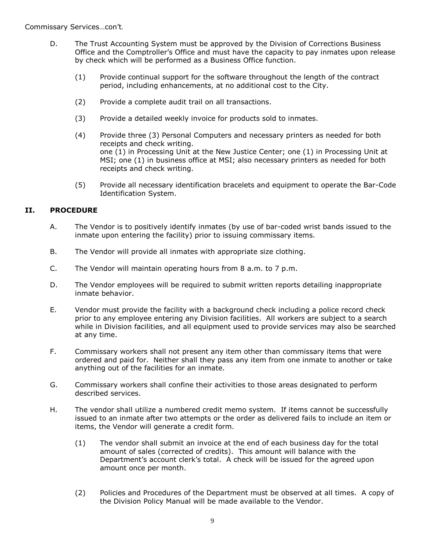- D. The Trust Accounting System must be approved by the Division of Corrections Business Office and the Comptroller's Office and must have the capacity to pay inmates upon release by check which will be performed as a Business Office function.
	- (1) Provide continual support for the software throughout the length of the contract period, including enhancements, at no additional cost to the City.
	- (2) Provide a complete audit trail on all transactions.
	- (3) Provide a detailed weekly invoice for products sold to inmates.
	- (4) Provide three (3) Personal Computers and necessary printers as needed for both receipts and check writing. one (1) in Processing Unit at the New Justice Center; one (1) in Processing Unit at MSI; one (1) in business office at MSI; also necessary printers as needed for both receipts and check writing.
	- (5) Provide all necessary identification bracelets and equipment to operate the Bar-Code Identification System.

## **II. PROCEDURE**

- A. The Vendor is to positively identify inmates (by use of bar-coded wrist bands issued to the inmate upon entering the facility) prior to issuing commissary items.
- B. The Vendor will provide all inmates with appropriate size clothing.
- C. The Vendor will maintain operating hours from 8 a.m. to 7 p.m.
- D. The Vendor employees will be required to submit written reports detailing inappropriate inmate behavior.
- E. Vendor must provide the facility with a background check including a police record check prior to any employee entering any Division facilities. All workers are subject to a search while in Division facilities, and all equipment used to provide services may also be searched at any time.
- F. Commissary workers shall not present any item other than commissary items that were ordered and paid for. Neither shall they pass any item from one inmate to another or take anything out of the facilities for an inmate.
- G. Commissary workers shall confine their activities to those areas designated to perform described services.
- H. The vendor shall utilize a numbered credit memo system. If items cannot be successfully issued to an inmate after two attempts or the order as delivered fails to include an item or items, the Vendor will generate a credit form.
	- (1) The vendor shall submit an invoice at the end of each business day for the total amount of sales (corrected of credits). This amount will balance with the Department's account clerk's total. A check will be issued for the agreed upon amount once per month.
	- (2) Policies and Procedures of the Department must be observed at all times. A copy of the Division Policy Manual will be made available to the Vendor.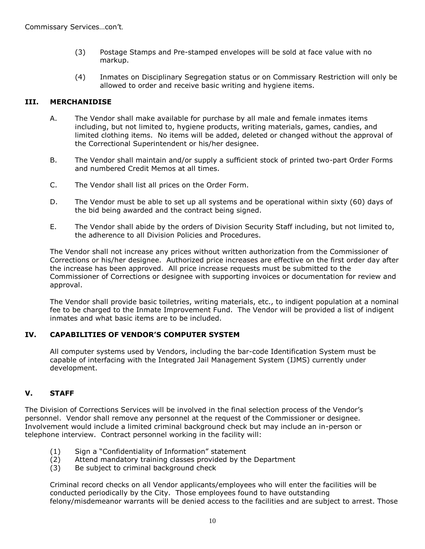- (3) Postage Stamps and Pre-stamped envelopes will be sold at face value with no markup.
- (4) Inmates on Disciplinary Segregation status or on Commissary Restriction will only be allowed to order and receive basic writing and hygiene items.

## **III. MERCHANIDISE**

- A. The Vendor shall make available for purchase by all male and female inmates items including, but not limited to, hygiene products, writing materials, games, candies, and limited clothing items. No items will be added, deleted or changed without the approval of the Correctional Superintendent or his/her designee.
- B. The Vendor shall maintain and/or supply a sufficient stock of printed two-part Order Forms and numbered Credit Memos at all times.
- C. The Vendor shall list all prices on the Order Form.
- D. The Vendor must be able to set up all systems and be operational within sixty (60) days of the bid being awarded and the contract being signed.
- E. The Vendor shall abide by the orders of Division Security Staff including, but not limited to, the adherence to all Division Policies and Procedures.

The Vendor shall not increase any prices without written authorization from the Commissioner of Corrections or his/her designee. Authorized price increases are effective on the first order day after the increase has been approved. All price increase requests must be submitted to the Commissioner of Corrections or designee with supporting invoices or documentation for review and approval.

The Vendor shall provide basic toiletries, writing materials, etc., to indigent population at a nominal fee to be charged to the Inmate Improvement Fund. The Vendor will be provided a list of indigent inmates and what basic items are to be included.

## **IV. CAPABILITIES OF VENDOR'S COMPUTER SYSTEM**

All computer systems used by Vendors, including the bar-code Identification System must be capable of interfacing with the Integrated Jail Management System (IJMS) currently under development.

## **V. STAFF**

The Division of Corrections Services will be involved in the final selection process of the Vendor's personnel. Vendor shall remove any personnel at the request of the Commissioner or designee. Involvement would include a limited criminal background check but may include an in-person or telephone interview. Contract personnel working in the facility will:

- (1) Sign a "Confidentiality of Information" statement
- (2) Attend mandatory training classes provided by the Department
- (3) Be subject to criminal background check

Criminal record checks on all Vendor applicants/employees who will enter the facilities will be conducted periodically by the City. Those employees found to have outstanding felony/misdemeanor warrants will be denied access to the facilities and are subject to arrest. Those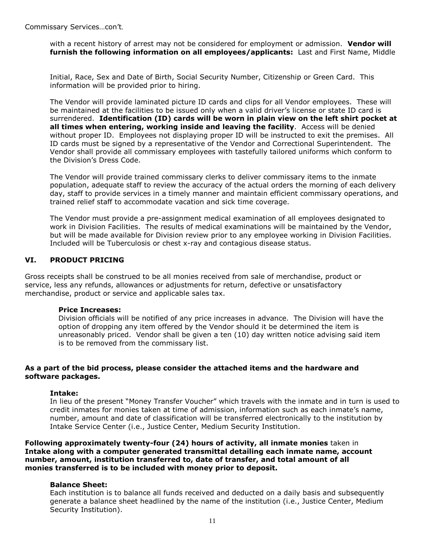with a recent history of arrest may not be considered for employment or admission. **Vendor will furnish the following information on all employees/applicants:** Last and First Name, Middle

Initial, Race, Sex and Date of Birth, Social Security Number, Citizenship or Green Card. This information will be provided prior to hiring.

The Vendor will provide laminated picture ID cards and clips for all Vendor employees. These will be maintained at the facilities to be issued only when a valid driver's license or state ID card is surrendered. **Identification (ID) cards will be worn in plain view on the left shirt pocket at all times when entering, working inside and leaving the facility**. Access will be denied without proper ID. Employees not displaying proper ID will be instructed to exit the premises. All ID cards must be signed by a representative of the Vendor and Correctional Superintendent. The Vendor shall provide all commissary employees with tastefully tailored uniforms which conform to the Division's Dress Code.

The Vendor will provide trained commissary clerks to deliver commissary items to the inmate population, adequate staff to review the accuracy of the actual orders the morning of each delivery day, staff to provide services in a timely manner and maintain efficient commissary operations, and trained relief staff to accommodate vacation and sick time coverage.

The Vendor must provide a pre-assignment medical examination of all employees designated to work in Division Facilities. The results of medical examinations will be maintained by the Vendor, but will be made available for Division review prior to any employee working in Division Facilities. Included will be Tuberculosis or chest x-ray and contagious disease status.

#### **VI. PRODUCT PRICING**

Gross receipts shall be construed to be all monies received from sale of merchandise, product or service, less any refunds, allowances or adjustments for return, defective or unsatisfactory merchandise, product or service and applicable sales tax.

#### **Price Increases:**

Division officials will be notified of any price increases in advance. The Division will have the option of dropping any item offered by the Vendor should it be determined the item is unreasonably priced. Vendor shall be given a ten (10) day written notice advising said item is to be removed from the commissary list.

## **As a part of the bid process, please consider the attached items and the hardware and software packages.**

#### **Intake:**

In lieu of the present "Money Transfer Voucher" which travels with the inmate and in turn is used to credit inmates for monies taken at time of admission, information such as each inmate's name, number, amount and date of classification will be transferred electronically to the institution by Intake Service Center (i.e., Justice Center, Medium Security Institution.

**Following approximately twenty-four (24) hours of activity, all inmate monies** taken in **Intake along with a computer generated transmittal detailing each inmate name, account number, amount, institution transferred to, date of transfer, and total amount of all monies transferred is to be included with money prior to deposit.**

## **Balance Sheet:**

Each institution is to balance all funds received and deducted on a daily basis and subsequently generate a balance sheet headlined by the name of the institution (i.e., Justice Center, Medium Security Institution).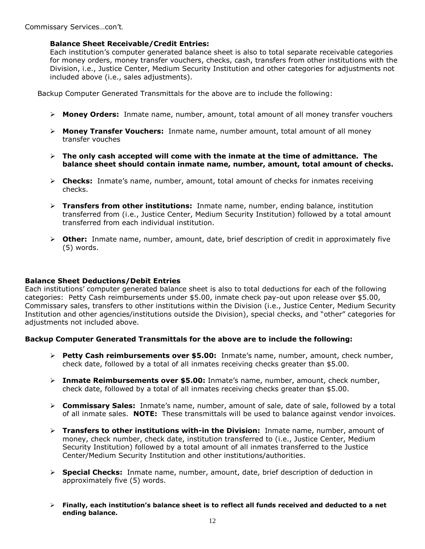## **Balance Sheet Receivable/Credit Entries:**

Each institution's computer generated balance sheet is also to total separate receivable categories for money orders, money transfer vouchers, checks, cash, transfers from other institutions with the Division, i.e., Justice Center, Medium Security Institution and other categories for adjustments not included above (i.e., sales adjustments).

Backup Computer Generated Transmittals for the above are to include the following:

- **Money Orders:** Inmate name, number, amount, total amount of all money transfer vouchers
- **Money Transfer Vouchers:** Inmate name, number amount, total amount of all money transfer vouches
- **The only cash accepted will come with the inmate at the time of admittance. The balance sheet should contain inmate name, number, amount, total amount of checks.**
- **Checks:** Inmate's name, number, amount, total amount of checks for inmates receiving checks.
- **Transfers from other institutions:** Inmate name, number, ending balance, institution transferred from (i.e., Justice Center, Medium Security Institution) followed by a total amount transferred from each individual institution.
- **Other:** Inmate name, number, amount, date, brief description of credit in approximately five (5) words.

## **Balance Sheet Deductions/Debit Entries**

Each institutions' computer generated balance sheet is also to total deductions for each of the following categories: Petty Cash reimbursements under \$5.00, inmate check pay-out upon release over \$5.00, Commissary sales, transfers to other institutions within the Division (i.e., Justice Center, Medium Security Institution and other agencies/institutions outside the Division), special checks, and "other" categories for adjustments not included above.

## **Backup Computer Generated Transmittals for the above are to include the following:**

- **Petty Cash reimbursements over \$5.00:** Inmate's name, number, amount, check number, check date, followed by a total of all inmates receiving checks greater than \$5.00.
- **Inmate Reimbursements over \$5.00:** Inmate's name, number, amount, check number, check date, followed by a total of all inmates receiving checks greater than \$5.00.
- **Commissary Sales:** Inmate's name, number, amount of sale, date of sale, followed by a total of all inmate sales. **NOTE:** These transmittals will be used to balance against vendor invoices.
- **Transfers to other institutions with-in the Division:** Inmate name, number, amount of money, check number, check date, institution transferred to (i.e., Justice Center, Medium Security Institution) followed by a total amount of all inmates transferred to the Justice Center/Medium Security Institution and other institutions/authorities.
- **Special Checks:** Inmate name, number, amount, date, brief description of deduction in approximately five (5) words.
- **Finally, each institution's balance sheet is to reflect all funds received and deducted to a net ending balance.**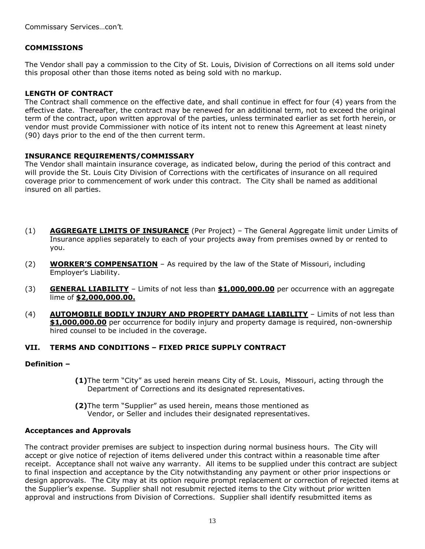## **COMMISSIONS**

The Vendor shall pay a commission to the City of St. Louis, Division of Corrections on all items sold under this proposal other than those items noted as being sold with no markup.

## **LENGTH OF CONTRACT**

The Contract shall commence on the effective date, and shall continue in effect for four (4) years from the effective date. Thereafter, the contract may be renewed for an additional term, not to exceed the original term of the contract, upon written approval of the parties, unless terminated earlier as set forth herein, or vendor must provide Commissioner with notice of its intent not to renew this Agreement at least ninety (90) days prior to the end of the then current term.

## **INSURANCE REQUIREMENTS/COMMISSARY**

The Vendor shall maintain insurance coverage, as indicated below, during the period of this contract and will provide the St. Louis City Division of Corrections with the certificates of insurance on all required coverage prior to commencement of work under this contract. The City shall be named as additional insured on all parties.

- (1) **AGGREGATE LIMITS OF INSURANCE** (Per Project) The General Aggregate limit under Limits of Insurance applies separately to each of your projects away from premises owned by or rented to you.
- (2) **WORKER'S COMPENSATION** As required by the law of the State of Missouri, including Employer's Liability.
- (3) **GENERAL LIABILITY** Limits of not less than **\$1,000,000.00** per occurrence with an aggregate lime of **\$2,000,000.00.**
- (4) **AUTOMOBILE BODILY INJURY AND PROPERTY DAMAGE LIABILITY** Limits of not less than **\$1,000,000.00** per occurrence for bodily injury and property damage is required, non-ownership hired counsel to be included in the coverage.

## **VII. TERMS AND CONDITIONS – FIXED PRICE SUPPLY CONTRACT**

## **Definition –**

- **(1)**The term "City" as used herein means City of St. Louis, Missouri, acting through the Department of Corrections and its designated representatives.
- **(2)**The term "Supplier" as used herein, means those mentioned as Vendor, or Seller and includes their designated representatives.

## **Acceptances and Approvals**

The contract provider premises are subject to inspection during normal business hours. The City will accept or give notice of rejection of items delivered under this contract within a reasonable time after receipt. Acceptance shall not waive any warranty. All items to be supplied under this contract are subject to final inspection and acceptance by the City notwithstanding any payment or other prior inspections or design approvals. The City may at its option require prompt replacement or correction of rejected items at the Supplier's expense. Supplier shall not resubmit rejected items to the City without prior written approval and instructions from Division of Corrections. Supplier shall identify resubmitted items as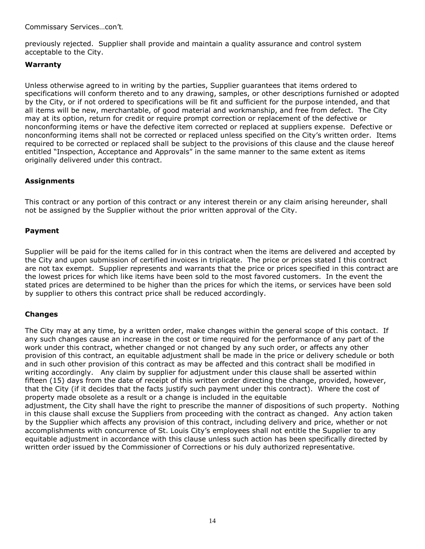previously rejected. Supplier shall provide and maintain a quality assurance and control system acceptable to the City.

## **Warranty**

Unless otherwise agreed to in writing by the parties, Supplier guarantees that items ordered to specifications will conform thereto and to any drawing, samples, or other descriptions furnished or adopted by the City, or if not ordered to specifications will be fit and sufficient for the purpose intended, and that all items will be new, merchantable, of good material and workmanship, and free from defect. The City may at its option, return for credit or require prompt correction or replacement of the defective or nonconforming items or have the defective item corrected or replaced at suppliers expense. Defective or nonconforming items shall not be corrected or replaced unless specified on the City's written order. Items required to be corrected or replaced shall be subject to the provisions of this clause and the clause hereof entitled "Inspection, Acceptance and Approvals" in the same manner to the same extent as items originally delivered under this contract.

## **Assignments**

This contract or any portion of this contract or any interest therein or any claim arising hereunder, shall not be assigned by the Supplier without the prior written approval of the City.

## **Payment**

Supplier will be paid for the items called for in this contract when the items are delivered and accepted by the City and upon submission of certified invoices in triplicate. The price or prices stated I this contract are not tax exempt. Supplier represents and warrants that the price or prices specified in this contract are the lowest prices for which like items have been sold to the most favored customers. In the event the stated prices are determined to be higher than the prices for which the items, or services have been sold by supplier to others this contract price shall be reduced accordingly.

## **Changes**

The City may at any time, by a written order, make changes within the general scope of this contact. If any such changes cause an increase in the cost or time required for the performance of any part of the work under this contract, whether changed or not changed by any such order, or affects any other provision of this contract, an equitable adjustment shall be made in the price or delivery schedule or both and in such other provision of this contract as may be affected and this contract shall be modified in writing accordingly. Any claim by supplier for adjustment under this clause shall be asserted within fifteen (15) days from the date of receipt of this written order directing the change, provided, however, that the City (if it decides that the facts justify such payment under this contract). Where the cost of property made obsolete as a result or a change is included in the equitable adjustment, the City shall have the right to prescribe the manner of dispositions of such property. Nothing in this clause shall excuse the Suppliers from proceeding with the contract as changed. Any action taken by the Supplier which affects any provision of this contract, including delivery and price, whether or not

accomplishments with concurrence of St. Louis City's employees shall not entitle the Supplier to any equitable adjustment in accordance with this clause unless such action has been specifically directed by written order issued by the Commissioner of Corrections or his duly authorized representative.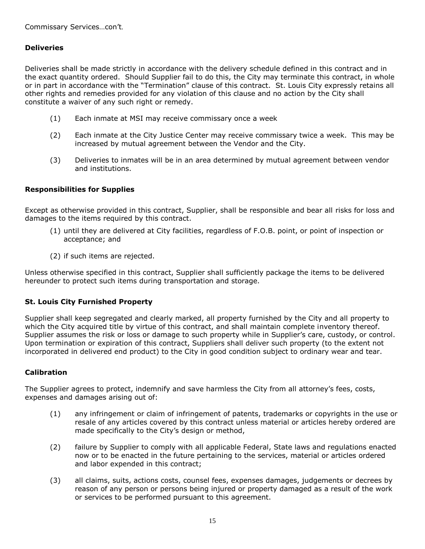## **Deliveries**

Deliveries shall be made strictly in accordance with the delivery schedule defined in this contract and in the exact quantity ordered. Should Supplier fail to do this, the City may terminate this contract, in whole or in part in accordance with the "Termination" clause of this contract. St. Louis City expressly retains all other rights and remedies provided for any violation of this clause and no action by the City shall constitute a waiver of any such right or remedy.

- (1) Each inmate at MSI may receive commissary once a week
- (2) Each inmate at the City Justice Center may receive commissary twice a week. This may be increased by mutual agreement between the Vendor and the City.
- (3) Deliveries to inmates will be in an area determined by mutual agreement between vendor and institutions.

## **Responsibilities for Supplies**

Except as otherwise provided in this contract, Supplier, shall be responsible and bear all risks for loss and damages to the items required by this contract.

- (1) until they are delivered at City facilities, regardless of F.O.B. point, or point of inspection or acceptance; and
- (2) if such items are rejected.

Unless otherwise specified in this contract, Supplier shall sufficiently package the items to be delivered hereunder to protect such items during transportation and storage.

## **St. Louis City Furnished Property**

Supplier shall keep segregated and clearly marked, all property furnished by the City and all property to which the City acquired title by virtue of this contract, and shall maintain complete inventory thereof. Supplier assumes the risk or loss or damage to such property while in Supplier's care, custody, or control. Upon termination or expiration of this contract, Suppliers shall deliver such property (to the extent not incorporated in delivered end product) to the City in good condition subject to ordinary wear and tear.

## **Calibration**

The Supplier agrees to protect, indemnify and save harmless the City from all attorney's fees, costs, expenses and damages arising out of:

- (1) any infringement or claim of infringement of patents, trademarks or copyrights in the use or resale of any articles covered by this contract unless material or articles hereby ordered are made specifically to the City's design or method,
- (2) failure by Supplier to comply with all applicable Federal, State laws and regulations enacted now or to be enacted in the future pertaining to the services, material or articles ordered and labor expended in this contract;
- (3) all claims, suits, actions costs, counsel fees, expenses damages, judgements or decrees by reason of any person or persons being injured or property damaged as a result of the work or services to be performed pursuant to this agreement.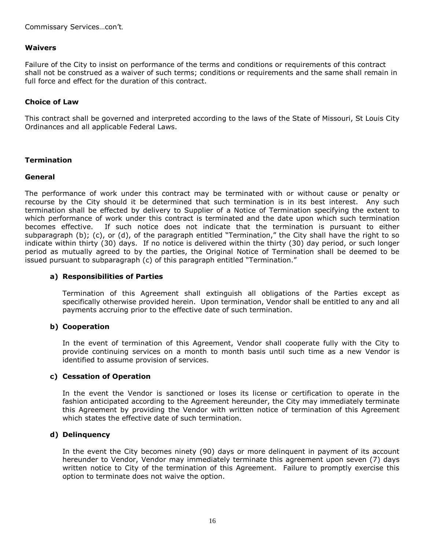## **Waivers**

Failure of the City to insist on performance of the terms and conditions or requirements of this contract shall not be construed as a waiver of such terms; conditions or requirements and the same shall remain in full force and effect for the duration of this contract.

## **Choice of Law**

This contract shall be governed and interpreted according to the laws of the State of Missouri, St Louis City Ordinances and all applicable Federal Laws.

## **Termination**

#### **General**

The performance of work under this contract may be terminated with or without cause or penalty or recourse by the City should it be determined that such termination is in its best interest. Any such termination shall be effected by delivery to Supplier of a Notice of Termination specifying the extent to which performance of work under this contract is terminated and the date upon which such termination becomes effective. If such notice does not indicate that the termination is pursuant to either subparagraph (b); (c), or (d), of the paragraph entitled "Termination," the City shall have the right to so indicate within thirty (30) days. If no notice is delivered within the thirty (30) day period, or such longer period as mutually agreed to by the parties, the Original Notice of Termination shall be deemed to be issued pursuant to subparagraph (c) of this paragraph entitled "Termination."

#### **a) Responsibilities of Parties**

Termination of this Agreement shall extinguish all obligations of the Parties except as specifically otherwise provided herein. Upon termination, Vendor shall be entitled to any and all payments accruing prior to the effective date of such termination.

## **b) Cooperation**

In the event of termination of this Agreement, Vendor shall cooperate fully with the City to provide continuing services on a month to month basis until such time as a new Vendor is identified to assume provision of services.

## **c) Cessation of Operation**

In the event the Vendor is sanctioned or loses its license or certification to operate in the fashion anticipated according to the Agreement hereunder, the City may immediately terminate this Agreement by providing the Vendor with written notice of termination of this Agreement which states the effective date of such termination.

## **d) Delinquency**

In the event the City becomes ninety (90) days or more delinquent in payment of its account hereunder to Vendor, Vendor may immediately terminate this agreement upon seven (7) days written notice to City of the termination of this Agreement. Failure to promptly exercise this option to terminate does not waive the option.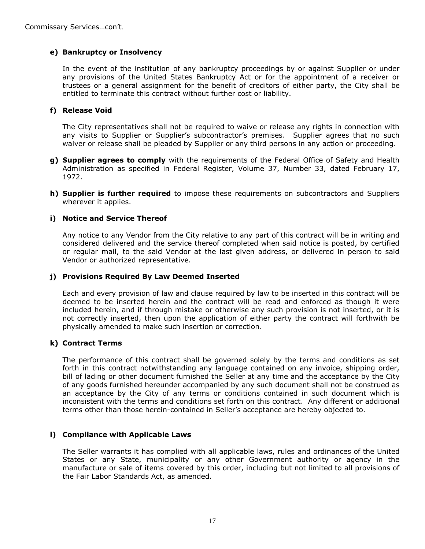## **e) Bankruptcy or Insolvency**

In the event of the institution of any bankruptcy proceedings by or against Supplier or under any provisions of the United States Bankruptcy Act or for the appointment of a receiver or trustees or a general assignment for the benefit of creditors of either party, the City shall be entitled to terminate this contract without further cost or liability.

## **f) Release Void**

The City representatives shall not be required to waive or release any rights in connection with any visits to Supplier or Supplier's subcontractor's premises. Supplier agrees that no such waiver or release shall be pleaded by Supplier or any third persons in any action or proceeding.

- **g) Supplier agrees to comply** with the requirements of the Federal Office of Safety and Health Administration as specified in Federal Register, Volume 37, Number 33, dated February 17, 1972.
- **h) Supplier is further required** to impose these requirements on subcontractors and Suppliers wherever it applies.

## **i) Notice and Service Thereof**

Any notice to any Vendor from the City relative to any part of this contract will be in writing and considered delivered and the service thereof completed when said notice is posted, by certified or regular mail, to the said Vendor at the last given address, or delivered in person to said Vendor or authorized representative.

## **j) Provisions Required By Law Deemed Inserted**

Each and every provision of law and clause required by law to be inserted in this contract will be deemed to be inserted herein and the contract will be read and enforced as though it were included herein, and if through mistake or otherwise any such provision is not inserted, or it is not correctly inserted, then upon the application of either party the contract will forthwith be physically amended to make such insertion or correction.

## **k) Contract Terms**

The performance of this contract shall be governed solely by the terms and conditions as set forth in this contract notwithstanding any language contained on any invoice, shipping order, bill of lading or other document furnished the Seller at any time and the acceptance by the City of any goods furnished hereunder accompanied by any such document shall not be construed as an acceptance by the City of any terms or conditions contained in such document which is inconsistent with the terms and conditions set forth on this contract. Any different or additional terms other than those herein-contained in Seller's acceptance are hereby objected to.

## **l) Compliance with Applicable Laws**

The Seller warrants it has complied with all applicable laws, rules and ordinances of the United States or any State, municipality or any other Government authority or agency in the manufacture or sale of items covered by this order, including but not limited to all provisions of the Fair Labor Standards Act, as amended.